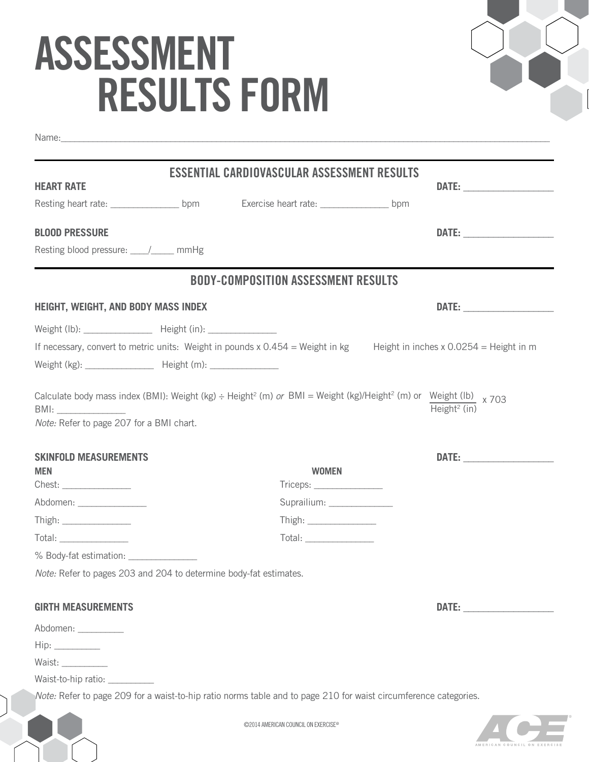## **ASSESSMENT RESULTS form**



|                                                                          | ESSENTIAL CARDIOVASCULAR ASSESSMENT RESULTS                                                                      |                                                                                                                          |
|--------------------------------------------------------------------------|------------------------------------------------------------------------------------------------------------------|--------------------------------------------------------------------------------------------------------------------------|
| <b>HEART RATE</b>                                                        |                                                                                                                  |                                                                                                                          |
|                                                                          |                                                                                                                  |                                                                                                                          |
| <b>BLOOD PRESSURE</b>                                                    |                                                                                                                  |                                                                                                                          |
| Resting blood pressure: _____/_____ mmHg                                 |                                                                                                                  |                                                                                                                          |
|                                                                          | <b>BODY-COMPOSITION ASSESSMENT RESULTS</b>                                                                       |                                                                                                                          |
| <b>HEIGHT, WEIGHT, AND BODY MASS INDEX</b>                               |                                                                                                                  |                                                                                                                          |
| Weight (lb): Height (in):                                                |                                                                                                                  |                                                                                                                          |
|                                                                          |                                                                                                                  | If necessary, convert to metric units: Weight in pounds x $0.454$ = Weight in kg Height in inches x 0.0254 = Height in m |
| Weight (kg): ___________________ Height (m): ________________            |                                                                                                                  |                                                                                                                          |
| Note: Refer to page 207 for a BMI chart.<br><b>SKINFOLD MEASUREMENTS</b> |                                                                                                                  |                                                                                                                          |
| <b>MEN</b>                                                               | <b>WOMEN</b>                                                                                                     |                                                                                                                          |
| Chest: ________________                                                  | $Triceps: \_\_\_\_\_\_\_\_\_\_\_\_\_\_\_\_\_\_\_$                                                                |                                                                                                                          |
| Abdomen: _________________                                               | Suprailium: _______________                                                                                      |                                                                                                                          |
| Thigh: ________________                                                  |                                                                                                                  |                                                                                                                          |
| Total: _________________                                                 | Total: <u>www.community.community.community</u>                                                                  |                                                                                                                          |
| % Body-fat estimation: Vertical Analysis                                 |                                                                                                                  |                                                                                                                          |
| Note: Refer to pages 203 and 204 to determine body-fat estimates.        |                                                                                                                  |                                                                                                                          |
| <b>GIRTH MEASUREMENTS</b>                                                |                                                                                                                  |                                                                                                                          |
| Abdomen: __________                                                      |                                                                                                                  |                                                                                                                          |
| $\mathsf{Hip:}\_\_\_\_\_\_\_\_\_\$                                       |                                                                                                                  |                                                                                                                          |
| Waist: ___________                                                       |                                                                                                                  |                                                                                                                          |
| Waist-to-hip ratio:                                                      |                                                                                                                  |                                                                                                                          |
|                                                                          | Note: Refer to page 209 for a waist-to-hip ratio norms table and to page 210 for waist circumference categories. |                                                                                                                          |



©2014 American council on exercise@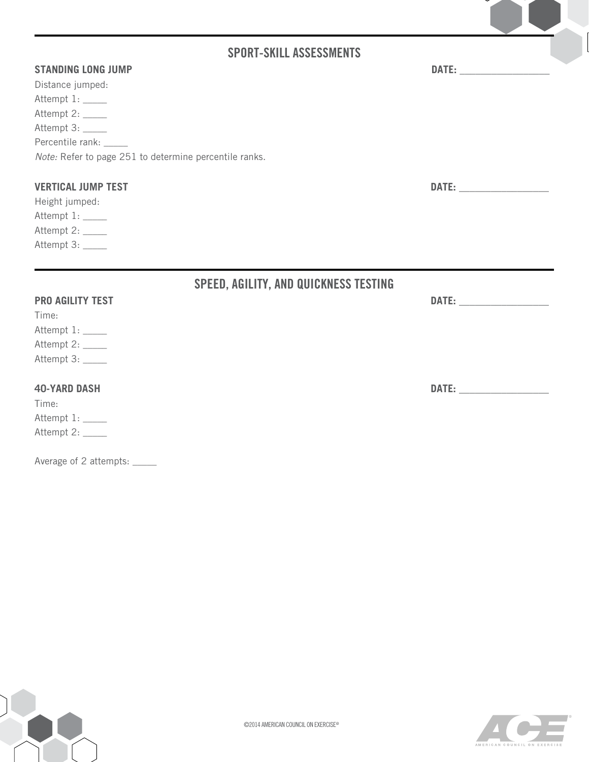## **Sport-skill Assessments**

| <b>STANDING LONG JUMP</b><br><b>DATE:</b> |
|-------------------------------------------|
|-------------------------------------------|

| Note: Refer to page 251 to determine percentile ranks. |
|--------------------------------------------------------|
|                                                        |

## **VERTICAL JUMP TEST DATE: \_\_\_\_\_\_\_\_\_\_\_\_\_\_\_\_\_**

Height jumped: Attempt 1: \_\_\_\_\_ Attempt 2: \_\_\_\_\_ Attempt 3: \_\_\_\_\_

|                         | <b>SPEED, AGILITY, AND QUICKNESS TESTING</b> |                                                                                                               |
|-------------------------|----------------------------------------------|---------------------------------------------------------------------------------------------------------------|
| <b>PRO AGILITY TEST</b> |                                              | DATE: New York Party of the Maria State of the Maria State of the Maria State of the Maria State of the Maria |
| Time:                   |                                              |                                                                                                               |
| Attempt 1: _____        |                                              |                                                                                                               |
| Attempt 2: _____        |                                              |                                                                                                               |
| Attempt 3:              |                                              |                                                                                                               |
| <b>40-YARD DASH</b>     |                                              | DATE:                                                                                                         |
| Time:                   |                                              |                                                                                                               |
| Attempt 1: _____        |                                              |                                                                                                               |
| Attempt 2: _____        |                                              |                                                                                                               |
|                         |                                              |                                                                                                               |

Average of 2 attempts: \_\_\_\_\_



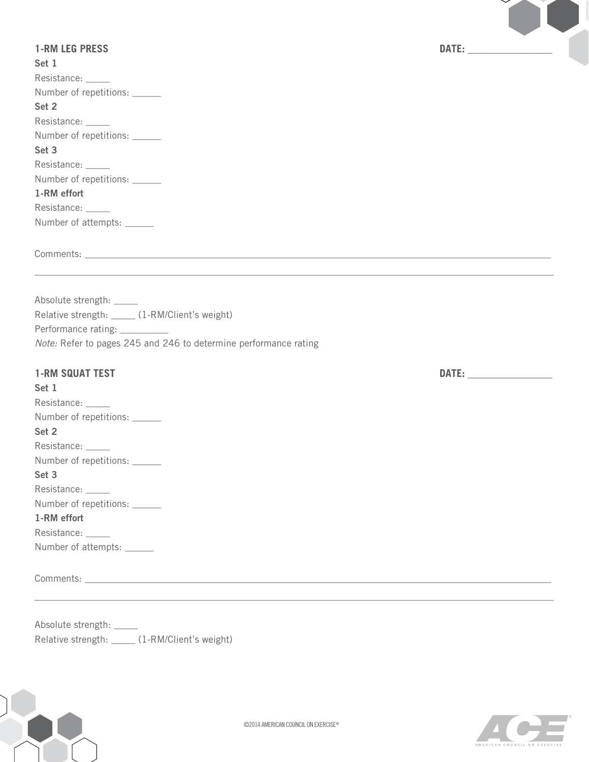| <b>1-RM LEG PRESS</b>                                                                                                                                                                                                                                                                                                                                 |  |
|-------------------------------------------------------------------------------------------------------------------------------------------------------------------------------------------------------------------------------------------------------------------------------------------------------------------------------------------------------|--|
| Set 1                                                                                                                                                                                                                                                                                                                                                 |  |
| Resistance: _____<br>Number of repetitions: ______                                                                                                                                                                                                                                                                                                    |  |
| Set 2                                                                                                                                                                                                                                                                                                                                                 |  |
| Resistance: _____                                                                                                                                                                                                                                                                                                                                     |  |
| Number of repetitions: ______                                                                                                                                                                                                                                                                                                                         |  |
| Set 3                                                                                                                                                                                                                                                                                                                                                 |  |
| Resistance: _____                                                                                                                                                                                                                                                                                                                                     |  |
| Number of repetitions: ______                                                                                                                                                                                                                                                                                                                         |  |
| 1-RM effort                                                                                                                                                                                                                                                                                                                                           |  |
| Resistance: _____                                                                                                                                                                                                                                                                                                                                     |  |
| Number of attempts: ______                                                                                                                                                                                                                                                                                                                            |  |
|                                                                                                                                                                                                                                                                                                                                                       |  |
| Absolute strength: _____<br>Relative strength: _____ (1-RM/Client's weight)                                                                                                                                                                                                                                                                           |  |
|                                                                                                                                                                                                                                                                                                                                                       |  |
|                                                                                                                                                                                                                                                                                                                                                       |  |
|                                                                                                                                                                                                                                                                                                                                                       |  |
|                                                                                                                                                                                                                                                                                                                                                       |  |
|                                                                                                                                                                                                                                                                                                                                                       |  |
|                                                                                                                                                                                                                                                                                                                                                       |  |
|                                                                                                                                                                                                                                                                                                                                                       |  |
|                                                                                                                                                                                                                                                                                                                                                       |  |
|                                                                                                                                                                                                                                                                                                                                                       |  |
|                                                                                                                                                                                                                                                                                                                                                       |  |
|                                                                                                                                                                                                                                                                                                                                                       |  |
|                                                                                                                                                                                                                                                                                                                                                       |  |
| Performance rating: _________<br>Note: Refer to pages 245 and 246 to determine performance rating<br><b>1-RM SQUAT TEST</b><br>Set 1<br>Resistance: _____<br>Number of repetitions:<br>Set 2<br>Resistance: _____<br>Number of repetitions: ______<br>Set 3<br>Resistance: _____<br>Number of repetitions: ______<br>1-RM effort<br>Resistance: _____ |  |
| Number of attempts: ______                                                                                                                                                                                                                                                                                                                            |  |

Relative strength: \_\_\_\_\_ (1-RM/Client's weight)

XX

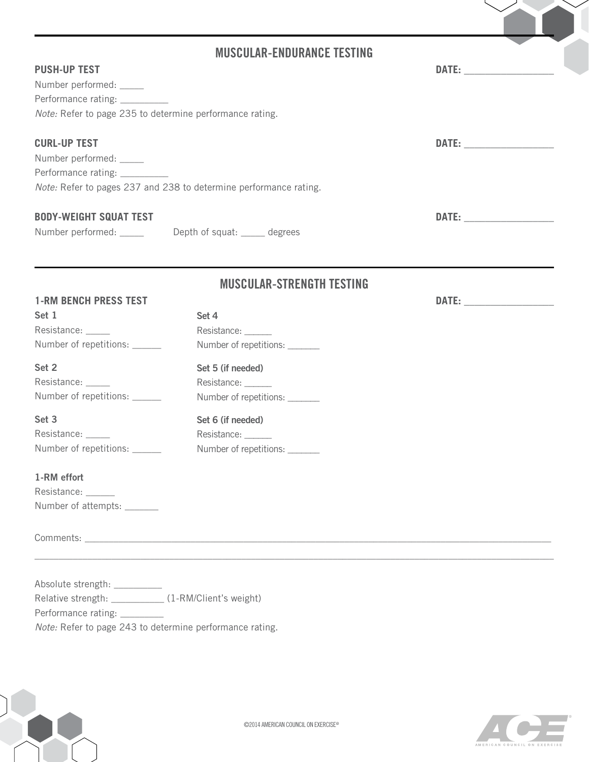|                                                                                                                                             | <b>MUSCULAR-ENDURANCE TESTING</b>                                         |  |
|---------------------------------------------------------------------------------------------------------------------------------------------|---------------------------------------------------------------------------|--|
| <b>PUSH-UP TEST</b><br>Number performed: _____<br>Performance rating: _________<br>Note: Refer to page 235 to determine performance rating. |                                                                           |  |
| <b>CURL-UP TEST</b><br>Number performed: _____<br>Performance rating: __________                                                            | Note: Refer to pages 237 and 238 to determine performance rating.         |  |
| <b>BODY-WEIGHT SQUAT TEST</b>                                                                                                               | Number performed: _______ Depth of squat: _____ degrees                   |  |
|                                                                                                                                             | <b>MUSCULAR-STRENGTH TESTING</b>                                          |  |
| <b>1-RM BENCH PRESS TEST</b><br>Set 1<br>Resistance: _____<br>Number of repetitions: ______                                                 | Set 4<br>Resistance: _____<br>Number of repetitions: ______               |  |
| Set 2<br>Resistance: _____<br>Number of repetitions: ______                                                                                 | Set 5 (if needed)<br>Resistance: ______<br>Number of repetitions: _______ |  |
| Set 3<br>Resistance: _____<br>Number of repetitions: ______                                                                                 | Set 6 (if needed)<br>Resistance: ______<br>Number of repetitions: _______ |  |
| 1-RM effort<br>Resistance:<br>Number of attempts: _______                                                                                   |                                                                           |  |
|                                                                                                                                             |                                                                           |  |
| Absolute strength: _________<br>Relative strength: ____________ (1-RM/Client's weight)<br>Performance rating: _________                     |                                                                           |  |

*Note:* Refer to page 243 to determine performance rating.



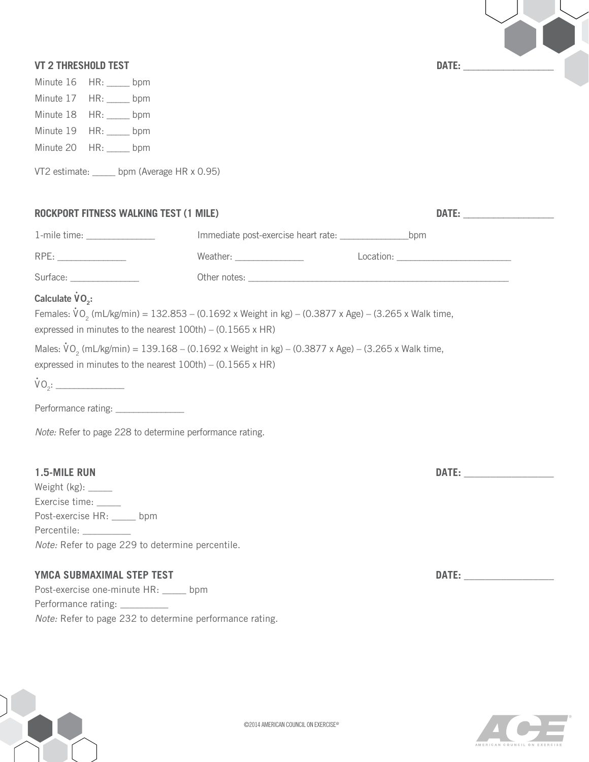| E: |  |  |  |
|----|--|--|--|
|    |  |  |  |

| <b>VT 2 THRESHOLD TEST</b>                                                                |                                                                                                                                                                                                                           |                                                                                                                                                                                                                               |
|-------------------------------------------------------------------------------------------|---------------------------------------------------------------------------------------------------------------------------------------------------------------------------------------------------------------------------|-------------------------------------------------------------------------------------------------------------------------------------------------------------------------------------------------------------------------------|
|                                                                                           |                                                                                                                                                                                                                           |                                                                                                                                                                                                                               |
| Minute 16<br>$HR:$ bpm                                                                    |                                                                                                                                                                                                                           |                                                                                                                                                                                                                               |
| Minute 17 HR: ____ bpm                                                                    |                                                                                                                                                                                                                           |                                                                                                                                                                                                                               |
| Minute 18 HR: ____ bpm                                                                    |                                                                                                                                                                                                                           |                                                                                                                                                                                                                               |
| Minute 19<br>$HR:$ _______ bpm                                                            |                                                                                                                                                                                                                           |                                                                                                                                                                                                                               |
| Minute 20 HR: ____ bpm                                                                    |                                                                                                                                                                                                                           |                                                                                                                                                                                                                               |
| VT2 estimate: _____ bpm (Average HR x 0.95)                                               |                                                                                                                                                                                                                           |                                                                                                                                                                                                                               |
| <b>ROCKPORT FITNESS WALKING TEST (1 MILE)</b>                                             |                                                                                                                                                                                                                           |                                                                                                                                                                                                                               |
| 1-mile time: ________________                                                             |                                                                                                                                                                                                                           |                                                                                                                                                                                                                               |
| RPE:                                                                                      |                                                                                                                                                                                                                           |                                                                                                                                                                                                                               |
| Surface: ________________                                                                 |                                                                                                                                                                                                                           |                                                                                                                                                                                                                               |
| Calculate VO <sub>2</sub> :<br>expressed in minutes to the nearest 100th) - (0.1565 x HR) | Females: $\rm{VO}_2$ (mL/kg/min) = 132.853 – (0.1692 x Weight in kg) – (0.3877 x Age) – (3.265 x Walk time,<br>Males: $\dot{V}O_2$ (mL/kg/min) = 139.168 – (0.1692 x Weight in kg) – (0.3877 x Age) – (3.265 x Walk time, |                                                                                                                                                                                                                               |
| expressed in minutes to the nearest $100th$ – (0.1565 x HR)                               |                                                                                                                                                                                                                           |                                                                                                                                                                                                                               |
|                                                                                           |                                                                                                                                                                                                                           |                                                                                                                                                                                                                               |
| Performance rating: ______________                                                        |                                                                                                                                                                                                                           |                                                                                                                                                                                                                               |
| Note: Refer to page 228 to determine performance rating.                                  |                                                                                                                                                                                                                           |                                                                                                                                                                                                                               |
| 1.5-MILE RUN                                                                              |                                                                                                                                                                                                                           | DATE: <u>________________</u>                                                                                                                                                                                                 |
| Weight (kg): _____<br>Exercise time: _____                                                |                                                                                                                                                                                                                           |                                                                                                                                                                                                                               |
| Post-exercise HR: ____ bpm                                                                |                                                                                                                                                                                                                           |                                                                                                                                                                                                                               |
| Percentile: __________                                                                    |                                                                                                                                                                                                                           |                                                                                                                                                                                                                               |
| Note: Refer to page 229 to determine percentile.                                          |                                                                                                                                                                                                                           |                                                                                                                                                                                                                               |
| YMCA SUBMAXIMAL STEP TEST                                                                 |                                                                                                                                                                                                                           | DATE: and the state of the state of the state of the state of the state of the state of the state of the state of the state of the state of the state of the state of the state of the state of the state of the state of the |
| Post-exercise one-minute HR: _____ bpm                                                    |                                                                                                                                                                                                                           |                                                                                                                                                                                                                               |
| Performance rating: __________                                                            |                                                                                                                                                                                                                           |                                                                                                                                                                                                                               |
| Note: Refer to page 232 to determine performance rating.                                  |                                                                                                                                                                                                                           |                                                                                                                                                                                                                               |



YY